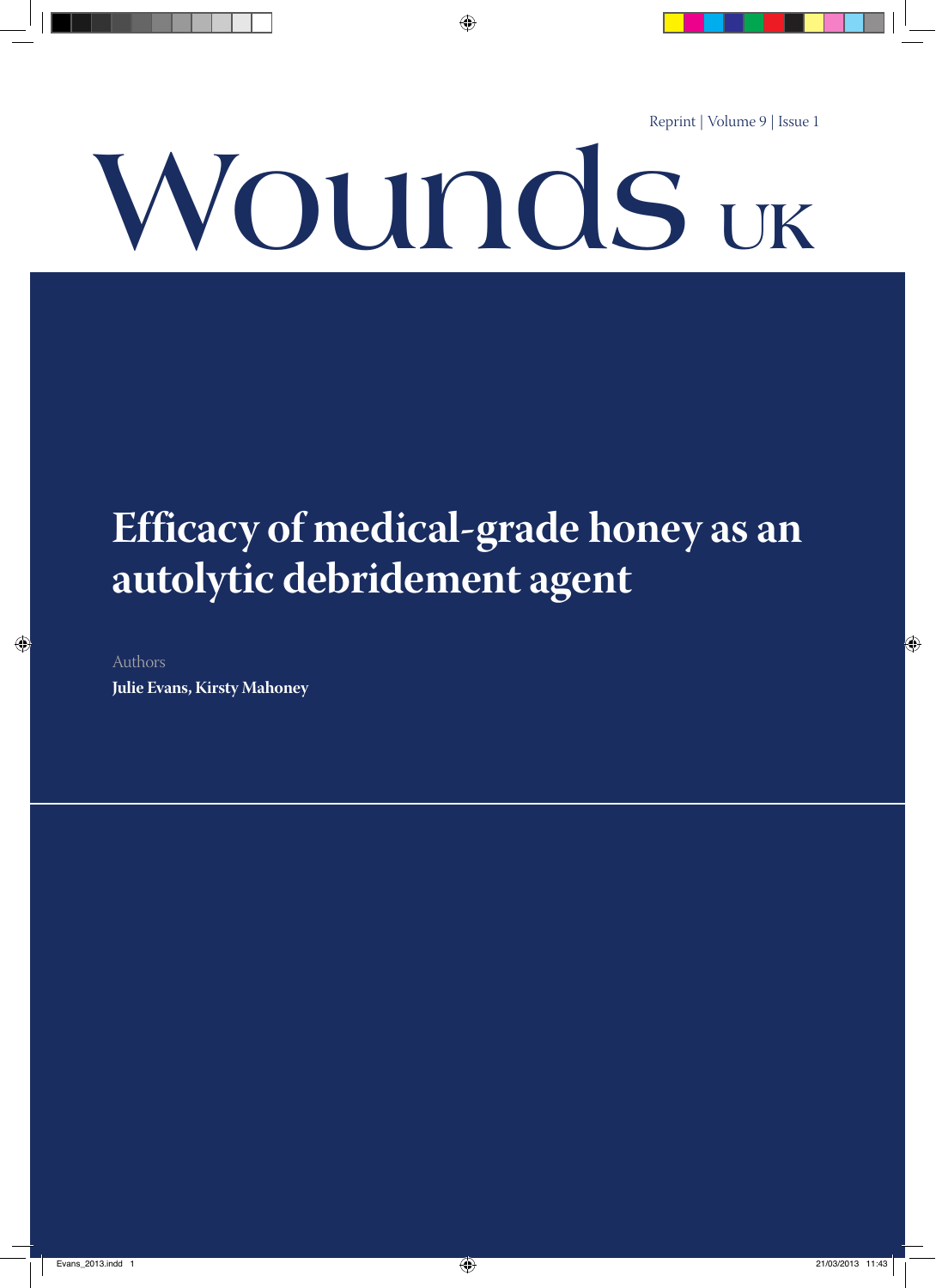Reprint | Volume 9 | Issue 1

# **Wounds UK**

# **Efficacy of medical-grade honey as an autolytic debridement agent**

Authors

**Julie Evans, Kirsty Mahoney**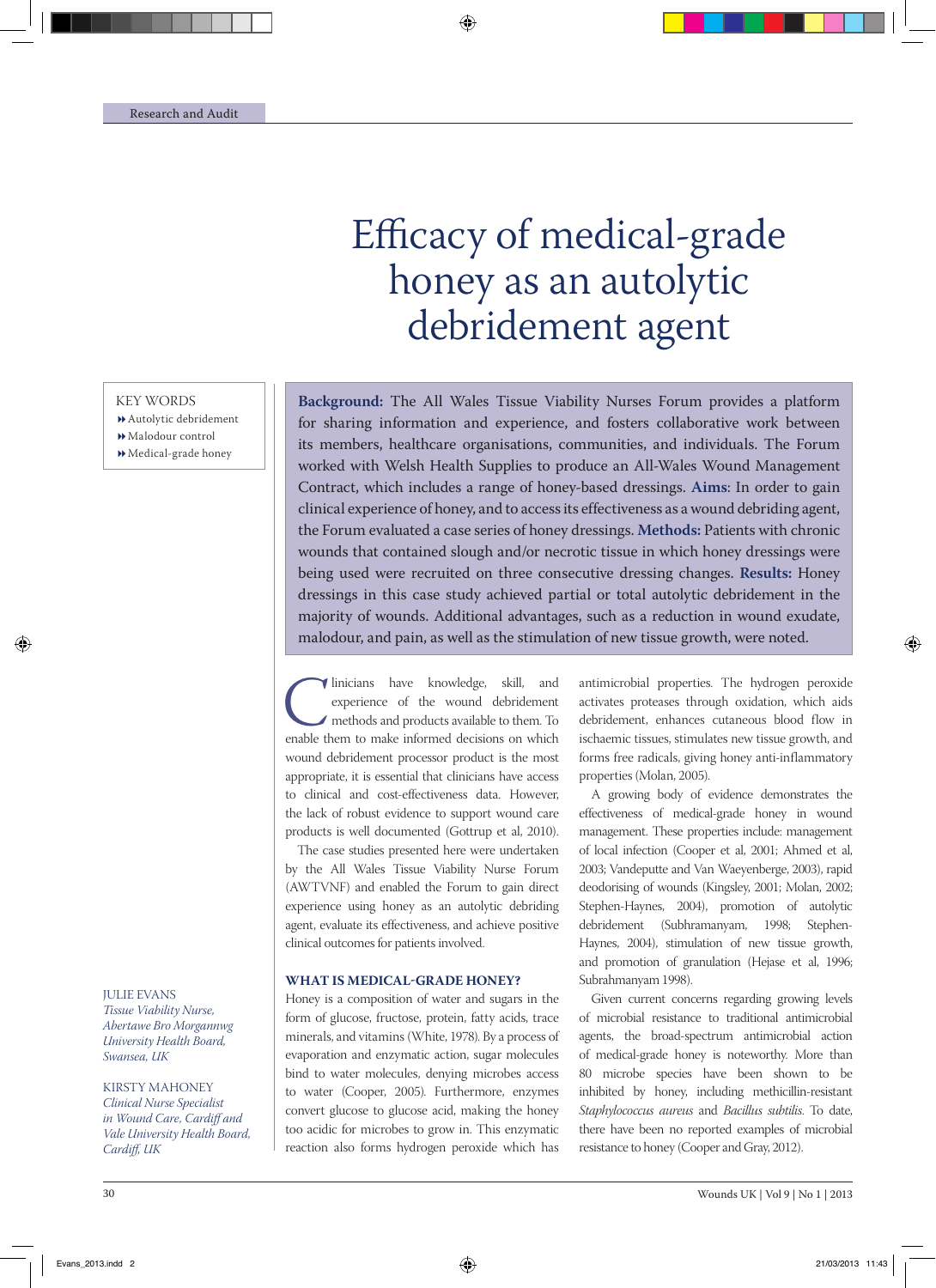# Efficacy of medical-grade honey as an autolytic debridement agent

**Background:** The All Wales Tissue Viability Nurses Forum provides a platform for sharing information and experience, and fosters collaborative work between its members, healthcare organisations, communities, and individuals. The Forum worked with Welsh Health Supplies to produce an All-Wales Wound Management Contract, which includes a range of honey-based dressings. **Aims**: In order to gain clinical experience of honey, and to accessits effectiveness as a wound debriding agent, the Forum evaluated a case series of honey dressings. **Methods:** Patients with chronic wounds that contained slough and/or necrotic tissue in which honey dressings were being used were recruited on three consecutive dressing changes. **Results:** Honey dressings in this case study achieved partial or total autolytic debridement in the majority of wounds. Additional advantages, such as a reduction in wound exudate, malodour, and pain, as well as the stimulation of new tissue growth, were noted.

Inicians have knowledge, skill, and experience of the wound debridement methods and products available to them. To enable them to make informed decisions on which experience of the wound debridement methods and products available to them. To wound debridement processor product is the most appropriate, it is essential that clinicians have access to clinical and cost-effectiveness data. However, the lack of robust evidence to support wound care products is well documented (Gottrup et al, 2010).

The case studies presented here were undertaken by the All Wales Tissue Viability Nurse Forum (AWTVNF) and enabled the Forum to gain direct experience using honey as an autolytic debriding agent, evaluate its effectiveness, and achieve positive clinical outcomes for patients involved.

### **What is Medical-Grade Honey?**

Honey is a composition of water and sugars in the form of glucose, fructose, protein, fatty acids, trace minerals, and vitamins (White, 1978). By a process of evaporation and enzymatic action, sugar molecules bind to water molecules, denying microbes access to water (Cooper, 2005). Furthermore, enzymes convert glucose to glucose acid, making the honey too acidic for microbes to grow in. This enzymatic reaction also forms hydrogen peroxide which has

antimicrobial properties. The hydrogen peroxide activates proteases through oxidation, which aids debridement, enhances cutaneous blood flow in ischaemic tissues, stimulates new tissue growth, and forms free radicals, giving honey anti-inflammatory properties (Molan, 2005).

A growing body of evidence demonstrates the effectiveness of medical-grade honey in wound management. These properties include: management of local infection (Cooper et al, 2001; Ahmed et al, 2003; Vandeputte and Van Waeyenberge, 2003), rapid deodorising of wounds (Kingsley, 2001; Molan, 2002; Stephen-Haynes, 2004), promotion of autolytic debridement (Subhramanyam, 1998; Stephen-Haynes, 2004), stimulation of new tissue growth, and promotion of granulation (Hejase et al, 1996; Subrahmanyam 1998).

Given current concerns regarding growing levels of microbial resistance to traditional antimicrobial agents, the broad-spectrum antimicrobial action of medical-grade honey is noteworthy. More than 80 microbe species have been shown to be inhibited by honey, including methicillin-resistant *Staphylococcus aureus* and *Bacillus subtilis*. To date, there have been no reported examples of microbial resistance to honey (Cooper and Gray, 2012).

### KEY WORDS

- Autolytic debridement
- Malodour control
- Medical-grade honey

JULIE EVANS *Tissue Viability Nurse, Abertawe Bro Morgannwg University Health Board, Swansea, UK* 

KIRSTY MAHONEY *Clinical Nurse Specialist in Wound Care, Cardiff and Vale University Health Board, Cardiff, UK*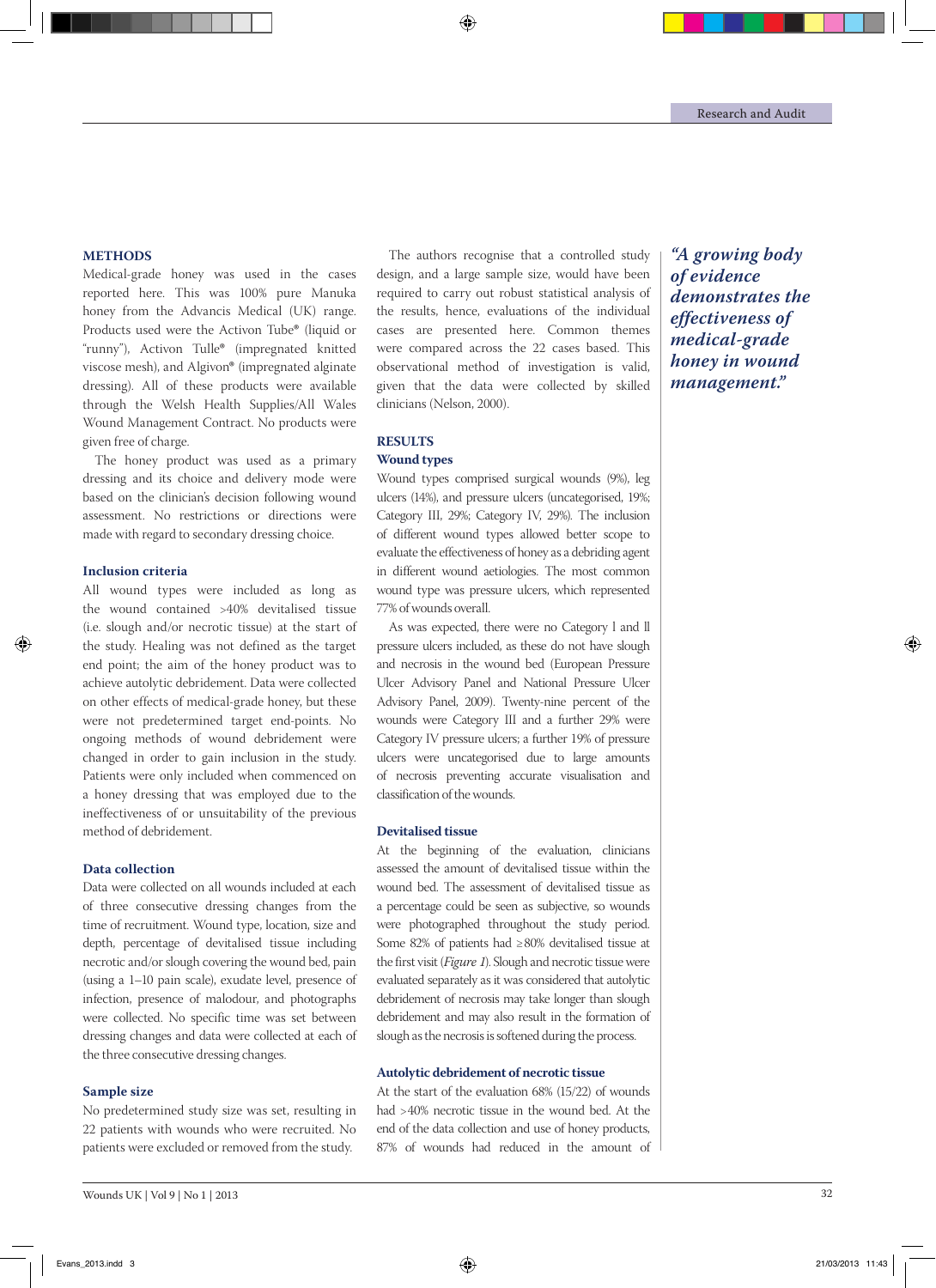### **Methods**

Medical-grade honey was used in the cases reported here. This was 100% pure Manuka honey from the Advancis Medical (UK) range. Products used were the Activon Tube® (liquid or "runny"), Activon Tulle® (impregnated knitted viscose mesh), and Algivon® (impregnated alginate dressing). All of these products were available through the Welsh Health Supplies/All Wales Wound Management Contract. No products were given free of charge.

The honey product was used as a primary dressing and its choice and delivery mode were based on the clinician's decision following wound assessment. No restrictions or directions were made with regard to secondary dressing choice.

### **Inclusion criteria**

All wound types were included as long as the wound contained >40% devitalised tissue (i.e. slough and/or necrotic tissue) at the start of the study. Healing was not defined as the target end point; the aim of the honey product was to achieve autolytic debridement. Data were collected on other effects of medical-grade honey, but these were not predetermined target end-points. No ongoing methods of wound debridement were changed in order to gain inclusion in the study. Patients were only included when commenced on a honey dressing that was employed due to the ineffectiveness of or unsuitability of the previous method of debridement.

### **Data collection**

Data were collected on all wounds included at each of three consecutive dressing changes from the time of recruitment. Wound type, location, size and depth, percentage of devitalised tissue including necrotic and/or slough covering the wound bed, pain (using a 1–10 pain scale), exudate level, presence of infection, presence of malodour, and photographs were collected. No specific time was set between dressing changes and data were collected at each of the three consecutive dressing changes.

### **Sample size**

No predetermined study size was set, resulting in 22 patients with wounds who were recruited. No patients were excluded or removed from the study.

The authors recognise that a controlled study design, and a large sample size, would have been required to carry out robust statistical analysis of the results, hence, evaluations of the individual cases are presented here. Common themes were compared across the 22 cases based. This observational method of investigation is valid, given that the data were collected by skilled clinicians (Nelson, 2000).

### **Results Wound types**

## Wound types comprised surgical wounds (9%), leg ulcers (14%), and pressure ulcers (uncategorised, 19%; Category III, 29%; Category IV, 29%). The inclusion of different wound types allowed better scope to evaluate the effectiveness of honey as a debriding agent in different wound aetiologies. The most common wound type was pressure ulcers, which represented 77% of wounds overall.

As was expected, there were no Category l and ll pressure ulcers included, as these do not have slough and necrosis in the wound bed (European Pressure Ulcer Advisory Panel and National Pressure Ulcer Advisory Panel, 2009). Twenty-nine percent of the wounds were Category III and a further 29% were Category IV pressure ulcers; a further 19% of pressure ulcers were uncategorised due to large amounts of necrosis preventing accurate visualisation and classification of the wounds.

### **Devitalised tissue**

At the beginning of the evaluation, clinicians assessed the amount of devitalised tissue within the wound bed. The assessment of devitalised tissue as a percentage could be seen as subjective, so wounds were photographed throughout the study period. Some 82% of patients had ≥80% devitalised tissue at the first visit (*Figure 1*). Slough and necrotic tissue were evaluated separately as it was considered that autolytic debridement of necrosis may take longer than slough debridement and may also result in the formation of slough as the necrosis is softened during the process.

### **Autolytic debridement of necrotic tissue**

At the start of the evaluation 68% (15/22) of wounds had >40% necrotic tissue in the wound bed. At the end of the data collection and use of honey products, 87% of wounds had reduced in the amount of

*"A growing body of evidence demonstrates the effectiveness of medical-grade honey in wound management."*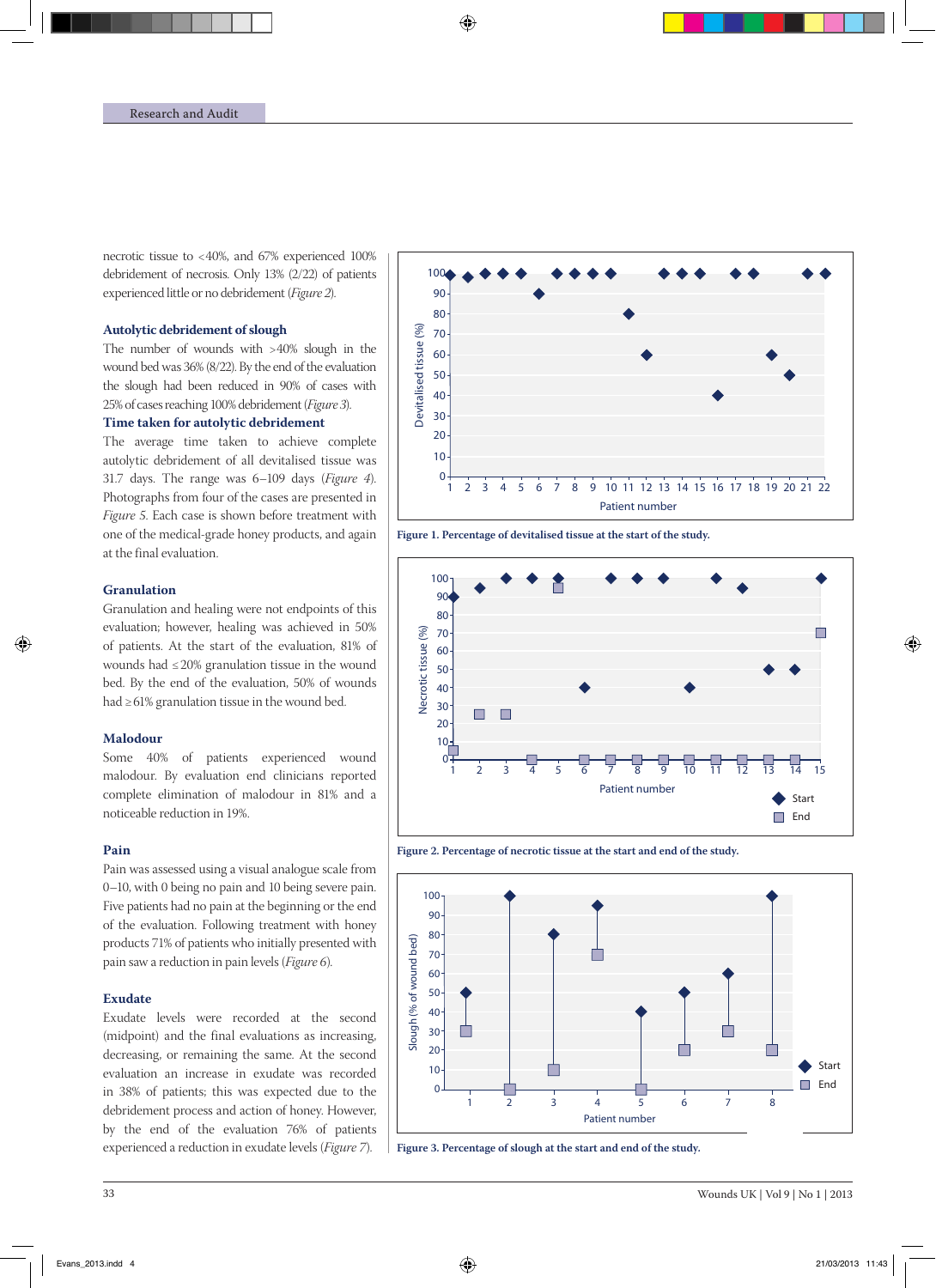necrotic tissue to <40%, and 67% experienced 100% debridement of necrosis. Only 13% (2/22) of patients experienced little or no debridement (*Figure 2*).

### **Autolytic debridement of slough**

The number of wounds with >40% slough in the wound bed was 36% (8/22). By the end of the evaluation the slough had been reduced in 90% of cases with 25% of cases reaching 100% debridement (*Figure 3*).

### **Time taken for autolytic debridement**

The average time taken to achieve complete autolytic debridement of all devitalised tissue was 31.7 days. The range was 6–109 days (*Figure 4*). Photographs from four of the cases are presented in *Figure 5*. Each case is shown before treatment with one of the medical-grade honey products, and again at the final evaluation.

### **Granulation**

Granulation and healing were not endpoints of this evaluation; however, healing was achieved in 50% of patients. At the start of the evaluation, 81% of wounds had ≤20% granulation tissue in the wound bed. By the end of the evaluation, 50% of wounds had ≥61% granulation tissue in the wound bed.

### **Malodour**

Some 40% of patients experienced wound malodour. By evaluation end clinicians reported complete elimination of malodour in 81% and a noticeable reduction in 19%.

### **Pain**

Pain was assessed using a visual analogue scale from 0–10, with 0 being no pain and 10 being severe pain. Five patients had no pain at the beginning or the end of the evaluation. Following treatment with honey products 71% of patients who initially presented with pain saw a reduction in pain levels (*Figure 6*).

### **Exudate**

Exudate levels were recorded at the second (midpoint) and the final evaluations as increasing, decreasing, or remaining the same. At the second evaluation an increase in exudate was recorded in 38% of patients; this was expected due to the debridement process and action of honey. However, by the end of the evaluation 76% of patients experienced a reduction in exudate levels (*Figure 7*).



**Figure 1. Percentage of devitalised tissue at the start of the study.**



**Figure 2. Percentage of necrotic tissue at the start and end of the study.** 90



**Figure 3. Percentage of slough at the start and end of the study.**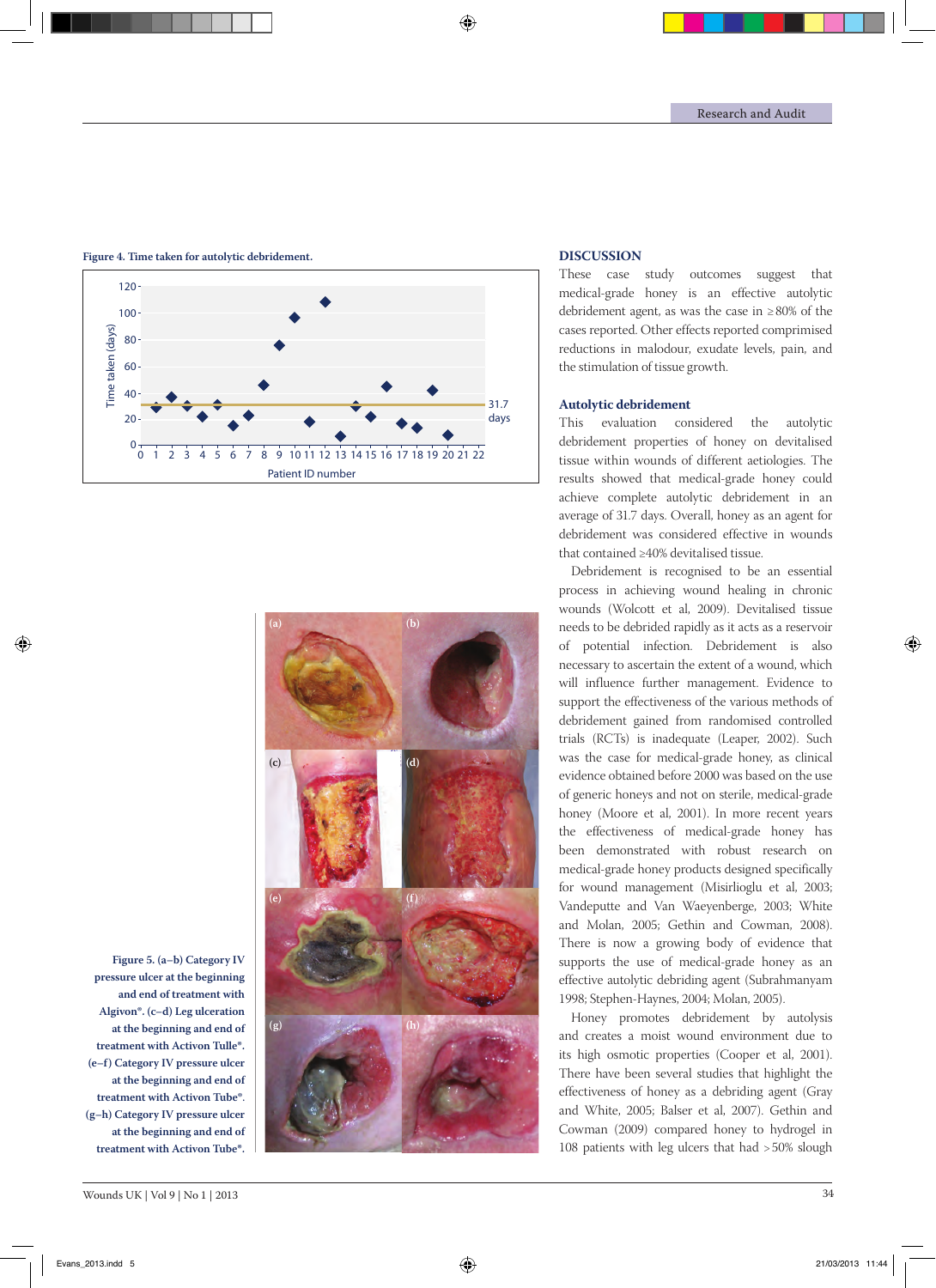

**Figure 4. Time taken for autolytic debridement.**



# **Discussion**

These case study outcomes suggest that medical-grade honey is an effective autolytic debridement agent, as was the case in ≥80% of the cases reported. Other effects reported comprimised reductions in malodour, exudate levels, pain, and the stimulation of tissue growth.

### **Autolytic debridement**

This evaluation considered the autolytic debridement properties of honey on devitalised tissue within wounds of different aetiologies. The results showed that medical-grade honey could achieve complete autolytic debridement in an average of 31.7 days. Overall, honey as an agent for debridement was considered effective in wounds that contained ≥40% devitalised tissue.

Debridement is recognised to be an essential process in achieving wound healing in chronic wounds (Wolcott et al, 2009). Devitalised tissue needs to be debrided rapidly as it acts as a reservoir of potential infection. Debridement is also necessary to ascertain the extent of a wound, which will influence further management. Evidence to support the effectiveness of the various methods of debridement gained from randomised controlled trials (RCTs) is inadequate (Leaper, 2002). Such was the case for medical-grade honey, as clinical evidence obtained before 2000 was based on the use of generic honeys and not on sterile, medical-grade honey (Moore et al, 2001). In more recent years the effectiveness of medical-grade honey has been demonstrated with robust research on medical-grade honey products designed specifically for wound management (Misirlioglu et al, 2003; Vandeputte and Van Waeyenberge, 2003; White and Molan, 2005; Gethin and Cowman, 2008). There is now a growing body of evidence that supports the use of medical-grade honey as an effective autolytic debriding agent (Subrahmanyam 1998; Stephen-Haynes, 2004; Molan, 2005).

Honey promotes debridement by autolysis and creates a moist wound environment due to its high osmotic properties (Cooper et al, 2001). There have been several studies that highlight the effectiveness of honey as a debriding agent (Gray and White, 2005; Balser et al, 2007). Gethin and Cowman (2009) compared honey to hydrogel in 108 patients with leg ulcers that had >50% slough

**Figure 5. (a–b) Category IV pressure ulcer at the beginning and end of treatment with Algivon**®**. (c–d) Leg ulceration at the beginning and end of treatment with Activon Tulle**®**. (e–f) Category IV pressure ulcer at the beginning and end of treatment with Activon Tube**®. **(g–h) Category IV pressure ulcer at the beginning and end of treatment with Activon Tube**®**.**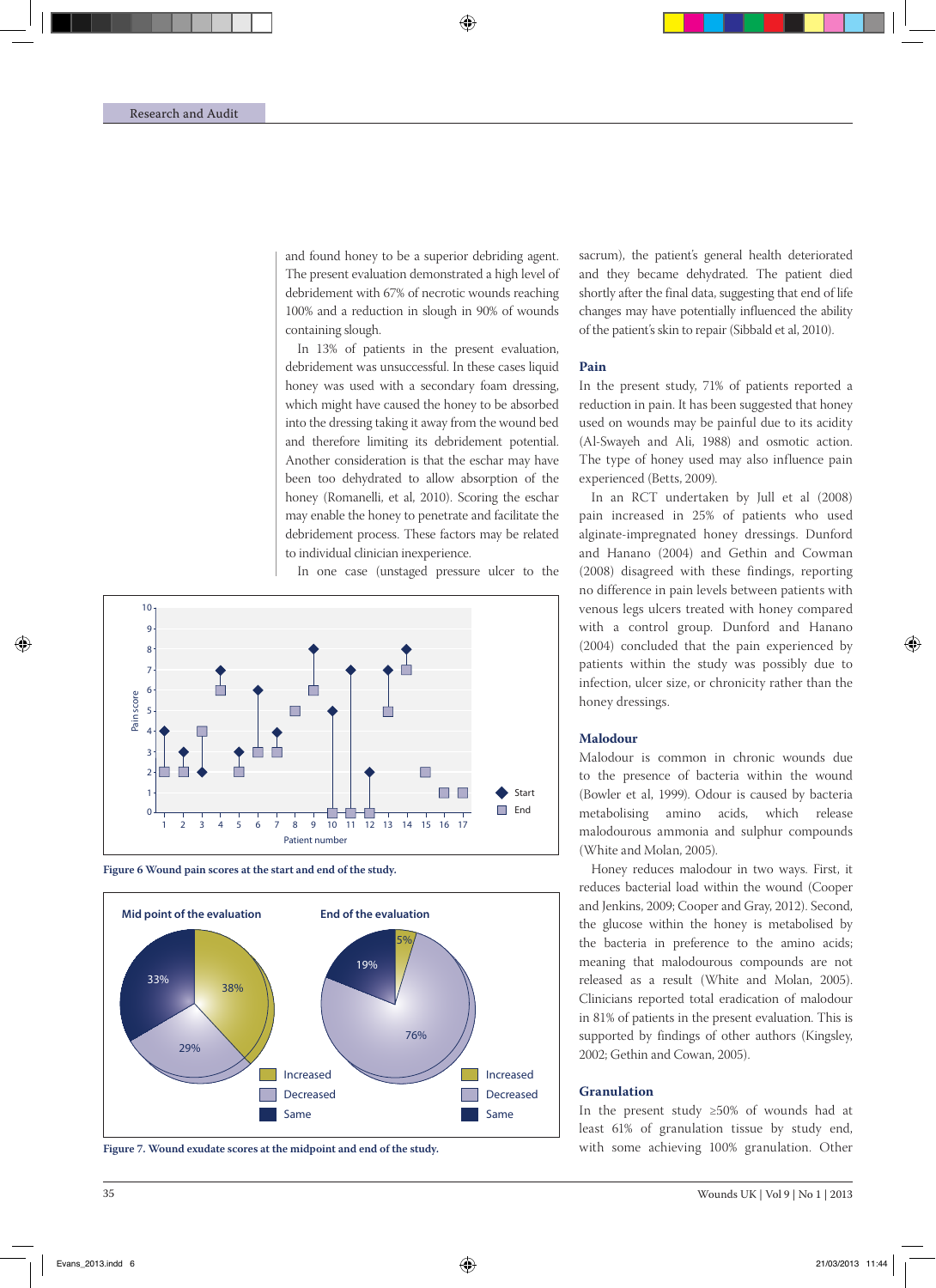and found honey to be a superior debriding agent. The present evaluation demonstrated a high level of debridement with 67% of necrotic wounds reaching 100% and a reduction in slough in 90% of wounds containing slough.

In 13% of patients in the present evaluation, debridement was unsuccessful. In these cases liquid honey was used with a secondary foam dressing, which might have caused the honey to be absorbed into the dressing taking it away from the wound bed and therefore limiting its debridement potential. Another consideration is that the eschar may have been too dehydrated to allow absorption of the honey (Romanelli, et al, 2010). Scoring the eschar may enable the honey to penetrate and facilitate the debridement process. These factors may be related to individual clinician inexperience.

In one case (unstaged pressure ulcer to the



**Figure 6 Wound pain scores at the start and end of the study.**



**Figure 7. Wound exudate scores at the midpoint and end of the study.**

sacrum), the patient's general health deteriorated and they became dehydrated. The patient died shortly after the final data, suggesting that end of life changes may have potentially influenced the ability of the patient's skin to repair (Sibbald et al, 2010).

### **Pain**

In the present study, 71% of patients reported a reduction in pain. It has been suggested that honey used on wounds may be painful due to its acidity (Al-Swayeh and Ali, 1988) and osmotic action. The type of honey used may also influence pain experienced (Betts, 2009).

In an RCT undertaken by Jull et al (2008) pain increased in 25% of patients who used alginate-impregnated honey dressings. Dunford and Hanano (2004) and Gethin and Cowman (2008) disagreed with these findings, reporting no difference in pain levels between patients with venous legs ulcers treated with honey compared with a control group. Dunford and Hanano (2004) concluded that the pain experienced by patients within the study was possibly due to infection, ulcer size, or chronicity rather than the honey dressings.

### **Malodour**

Malodour is common in chronic wounds due to the presence of bacteria within the wound (Bowler et al, 1999). Odour is caused by bacteria metabolising amino acids, which release malodourous ammonia and sulphur compounds (White and Molan, 2005).

Honey reduces malodour in two ways. First, it reduces bacterial load within the wound (Cooper and Jenkins, 2009; Cooper and Gray, 2012). Second, the glucose within the honey is metabolised by the bacteria in preference to the amino acids; meaning that malodourous compounds are not released as a result (White and Molan, 2005). Clinicians reported total eradication of malodour in 81% of patients in the present evaluation. This is supported by findings of other authors (Kingsley, 2002; Gethin and Cowan, 2005).

### **Granulation**

In the present study ≥50% of wounds had at least 61% of granulation tissue by study end, with some achieving 100% granulation. Other